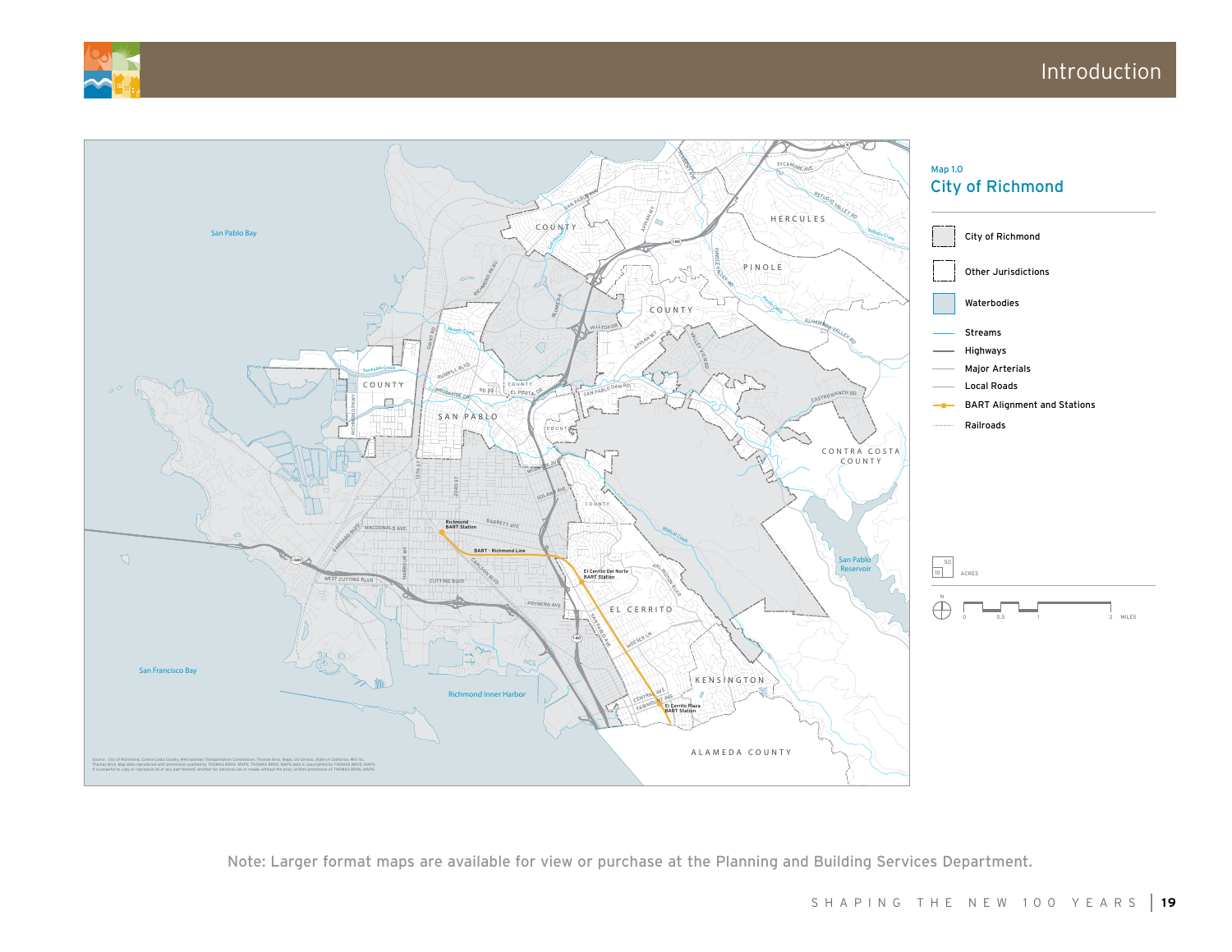



Note: Larger format maps are available for view or purchase at the Planning and Building Services Department.